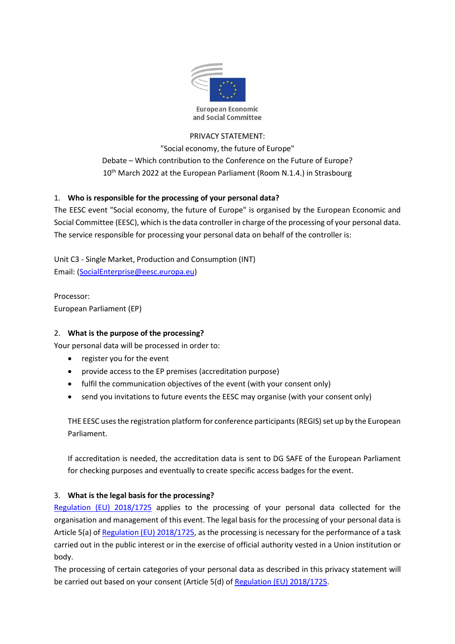

# PRIVACY STATEMENT:

"Social economy, the future of Europe" Debate – Which contribution to the Conference on the Future of Europe? 10<sup>th</sup> March 2022 at the European Parliament (Room N.1.4.) in Strasbourg

# 1. Who is responsible for the processing of your personal data?

The EESC event "Social economy, the future of Europe" is organised by the European Economic and Social Committee (EESC), which is the data controller in charge of the processing of your personal data. The service responsible for processing your personal data on behalf of the controller is:

Unit C3 - Single Market, Production and Consumption (INT) Email: (SocialEnterprise@eesc.europa.eu)

Processor: European Parliament (EP)

# 2. What is the purpose of the processing?

Your personal data will be processed in order to:

- register you for the event
- provide access to the EP premises (accreditation purpose)
- fulfil the communication objectives of the event (with your consent only)
- send you invitations to future events the EESC may organise (with your consent only)

THE EESC uses the registration platform for conference participants (REGIS) set up by the European Parliament.

If accreditation is needed, the accreditation data is sent to DG SAFE of the European Parliament for checking purposes and eventually to create specific access badges for the event.

# 3. What is the legal basis for the processing?

Regulation (EU) 2018/1725 applies to the processing of your personal data collected for the organisation and management of this event. The legal basis for the processing of your personal data is Article 5(a) of Regulation (EU) 2018/1725, as the processing is necessary for the performance of a task carried out in the public interest or in the exercise of official authority vested in a Union institution or body.

The processing of certain categories of your personal data as described in this privacy statement will be carried out based on your consent (Article 5(d) of Regulation (EU) 2018/1725.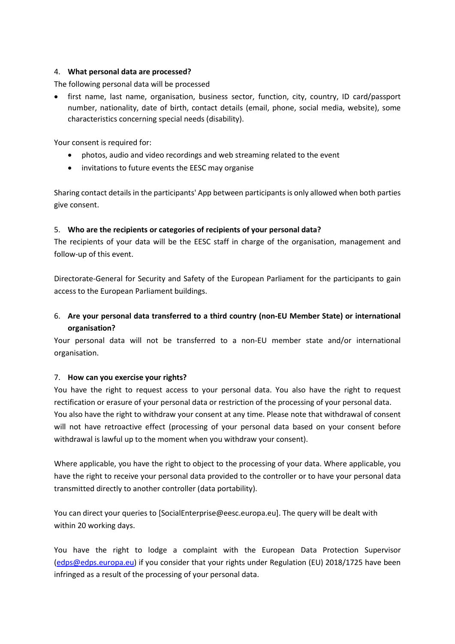### 4. What personal data are processed?

The following personal data will be processed

• first name, last name, organisation, business sector, function, city, country, ID card/passport number, nationality, date of birth, contact details (email, phone, social media, website), some characteristics concerning special needs (disability).

Your consent is required for:

- photos, audio and video recordings and web streaming related to the event
- invitations to future events the EESC may organise

Sharing contact details in the participants' App between participants is only allowed when both parties give consent.

### 5. Who are the recipients or categories of recipients of your personal data?

The recipients of your data will be the EESC staff in charge of the organisation, management and follow-up of this event.

Directorate-General for Security and Safety of the European Parliament for the participants to gain access to the European Parliament buildings.

# 6. Are your personal data transferred to a third country (non-EU Member State) or international organisation?

Your personal data will not be transferred to a non-EU member state and/or international organisation.

#### 7. How can you exercise your rights?

You have the right to request access to your personal data. You also have the right to request rectification or erasure of your personal data or restriction of the processing of your personal data. You also have the right to withdraw your consent at any time. Please note that withdrawal of consent will not have retroactive effect (processing of your personal data based on your consent before withdrawal is lawful up to the moment when you withdraw your consent).

Where applicable, you have the right to object to the processing of your data. Where applicable, you have the right to receive your personal data provided to the controller or to have your personal data transmitted directly to another controller (data portability).

You can direct your queries to [SocialEnterprise@eesc.europa.eu]. The query will be dealt with within 20 working days.

You have the right to lodge a complaint with the European Data Protection Supervisor (edps@edps.europa.eu) if you consider that your rights under Regulation (EU) 2018/1725 have been infringed as a result of the processing of your personal data.